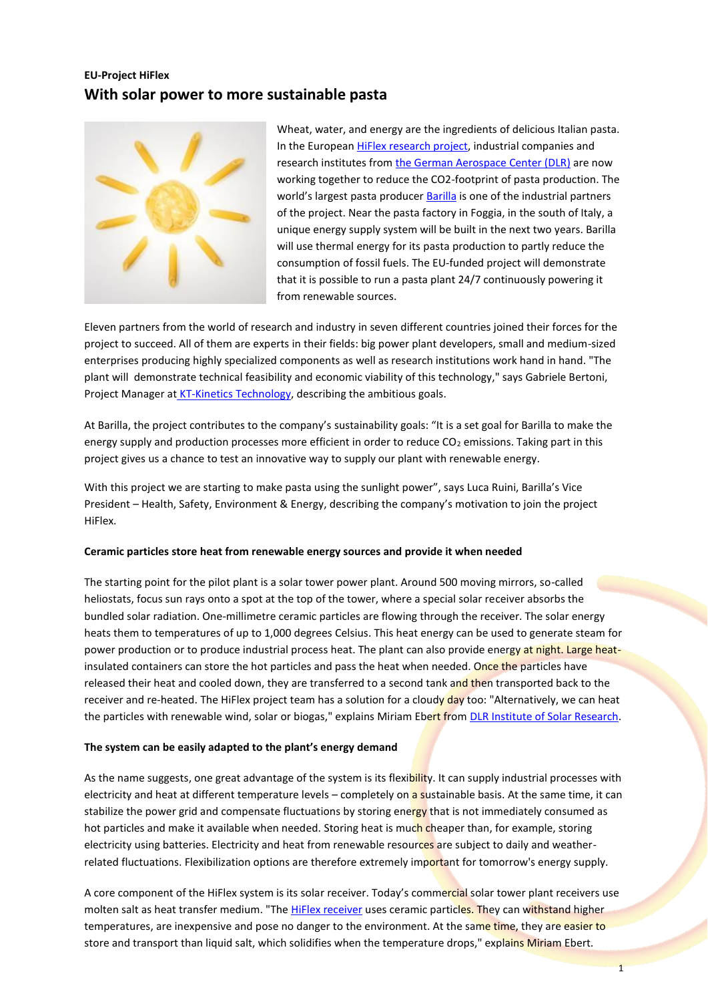# **EU-Project HiFlex With solar power to more sustainable pasta**



Wheat, water, and energy are the ingredients of delicious Italian pasta. In the European [HiFlex research project,](https://eur02.safelinks.protection.outlook.com/?url=http%3A%2F%2Fhiflex-project.eu%2F&data=02%7C01%7CM.Ficola%40kt-met.it%7Ccd22e8dab45444871f0308d86c42ecbd%7C7cc918885aa049e5a83622cda2eae0fc%7C0%7C0%7C637378381989877254&sdata=f5qVXgxAX1ez6muDbL%2BxNDYk%2BhJD2ZQgQG%2BPrpgSplU%3D&reserved=0) industrial companies and research institutes fro[m the German Aerospace Center \(DLR\)](https://eur02.safelinks.protection.outlook.com/?url=https%3A%2F%2Fwww.dlr.de%2FEN%2Fresearch%2Fenergy_node.html&data=02%7C01%7CM.Ficola%40kt-met.it%7Ccd22e8dab45444871f0308d86c42ecbd%7C7cc918885aa049e5a83622cda2eae0fc%7C0%7C0%7C637378381989877254&sdata=Q%2FqNBJ4YyzU5mlvrjgVqXIyGtZGJV7vIqnAR5PMOPIo%3D&reserved=0) are now working together to reduce the CO2-footprint of pasta production. The world's largest pasta producer [Barilla](https://eur02.safelinks.protection.outlook.com/?url=http%3A%2F%2Fwww.barillagroup.com%2F&data=02%7C01%7CM.Ficola%40kt-met.it%7Ccd22e8dab45444871f0308d86c42ecbd%7C7cc918885aa049e5a83622cda2eae0fc%7C0%7C0%7C637378381989887244&sdata=6%2Fp7cGOzXKnb%2B0nwVaYqGlsCS95PSFehFFIy9HzSsbc%3D&reserved=0) is one of the industrial partners of the project. Near the pasta factory in Foggia, in the south of Italy, a unique energy supply system will be built in the next two years. Barilla will use thermal energy for its pasta production to partly reduce the consumption of fossil fuels. The EU-funded project will demonstrate that it is possible to run a pasta plant 24/7 continuously powering it from renewable sources.

Eleven partners from the world of research and industry in seven different countries joined their forces for the project to succeed. All of them are experts in their fields: big power plant developers, small and medium-sized enterprises producing highly specialized components as well as research institutions work hand in hand. "The plant will demonstrate technical feasibility and economic viability of this technology," says Gabriele Bertoni, Project Manager at [KT-Kinetics Technology,](https://www.kt-met.com/) describing the ambitious goals.

At Barilla, the project contributes to the company's sustainability goals: "It is a set goal for Barilla to make the energy supply and production processes more efficient in order to reduce CO<sub>2</sub> emissions. Taking part in this project gives us a chance to test an innovative way to supply our plant with renewable energy.

With this project we are starting to make pasta using the sunlight power", says Luca Ruini, Barilla's Vice President – Health, Safety, Environment & Energy, describing the company's motivation to join the project HiFlex.

### **Ceramic particles store heat from renewable energy sources and provide it when needed**

The starting point for the pilot plant is a solar tower power plant. Around 500 moving mirrors, so-called heliostats, focus sun rays onto a spot at the top of the tower, where a special solar receiver absorbs the bundled solar radiation. One-millimetre ceramic particles are flowing through the receiver. The solar energy heats them to temperatures of up to 1,000 degrees Celsius. This heat energy can be used to generate steam for power production or to produce industrial process heat. The plant can also provide energy at night. Large heatinsulated containers can store the hot particles and pass the heat when needed. Once the particles have released their heat and cooled down, they are transferred to a second tank and then transported back to the receiver and re-heated. The HiFlex project team has a solution for a cloudy day too: "Alternatively, we can heat the particles with renewable wind, solar or biogas," explains Miriam Ebert from [DLR Institute of Solar Research.](https://eur02.safelinks.protection.outlook.com/?url=https%3A%2F%2Fdlr.de%2Fsf&data=02%7C01%7CM.Ficola%40kt-met.it%7Ccd22e8dab45444871f0308d86c42ecbd%7C7cc918885aa049e5a83622cda2eae0fc%7C0%7C0%7C637378381989897239&sdata=Ksd%2BhEAQ6p61xwgj9Cs9gOK0TU5zuNbsbCVqz8Zi3RM%3D&reserved=0)

#### **The system can be easily adapted to the plant's energy demand**

As the name suggests, one great advantage of the system is its flexibility. It can supply industrial processes with electricity and heat at different temperature levels – completely on a sustainable basis. At the same time, it can stabilize the power grid and compensate fluctuations by storing energy that is not immediately consumed as hot particles and make it available when needed. Storing heat is much cheaper than, for example, storing electricity using batteries. Electricity and heat from renewable resources are subject to daily and weatherrelated fluctuations. Flexibilization options are therefore extremely important for tomorrow's energy supply.

A core component of the HiFlex system is its solar receiver. Today's commercial solar tower plant receivers use molten salt as heat transfer medium. "The [HiFlex receiver](https://eur02.safelinks.protection.outlook.com/?url=https%3A%2F%2Fdlr.de%2Fsf%2Fcentrec&data=02%7C01%7CM.Ficola%40kt-met.it%7Ccd22e8dab45444871f0308d86c42ecbd%7C7cc918885aa049e5a83622cda2eae0fc%7C0%7C0%7C637378381989897239&sdata=EK15rjDz1Liws7B0uTpj2n%2BhEpq4l0y%2BuamEgjIZ7BQ%3D&reserved=0) uses ceramic particles. They can withstand higher temperatures, are inexpensive and pose no danger to the environment. At the same time, they are easier to store and transport than liquid salt, which solidifies when the temperature drops," explains Miriam Ebert.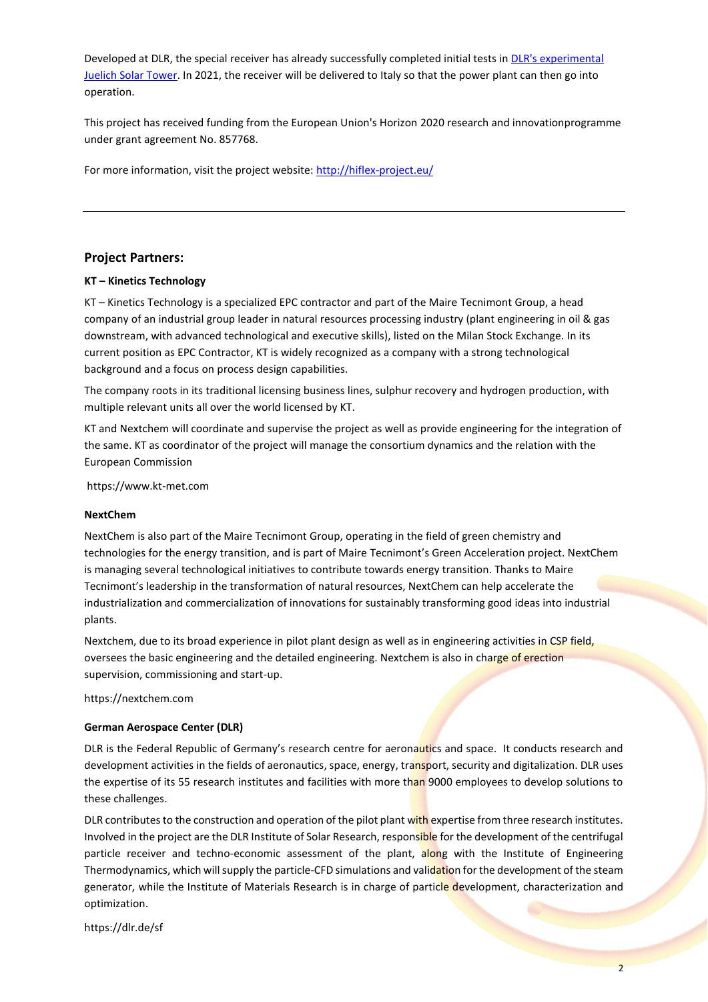Developed at DLR, the special receiver has already successfully completed initial tests in **DLR's experimental** [Juelich Solar Tower.](https://eur02.safelinks.protection.outlook.com/?url=https%3A%2F%2Fwww.dlr.de%2Fsf%2Fdesktopdefault.aspx%2Ftabid-13616%2F23737_read-54442%2Fhttps%3A%2Fwww.dlr.de%2Fsf%2Fen%2Fdesktopdefault.aspx%2Ftabid-8560%2F&data=02%7C01%7CM.Ficola%40kt-met.it%7Ccd22e8dab45444871f0308d86c42ecbd%7C7cc918885aa049e5a83622cda2eae0fc%7C0%7C0%7C637378381989907232&sdata=fkwQfgDxyzC34a8t3ucsHX9948ZsAhp4F6dCd6kXybQ%3D&reserved=0) In 2021, the receiver will be delivered to Italy so that the power plant can then go into operation.

This project has received funding from the European Union's Horizon 2020 research and innovationprogramme under grant agreement No. 857768.

For more information, visit the project website: [http://hiflex-project.eu/](https://eur02.safelinks.protection.outlook.com/?url=http%3A%2F%2Fhiflex-project.eu%2F&data=02%7C01%7CM.Ficola%40kt-met.it%7Ccd22e8dab45444871f0308d86c42ecbd%7C7cc918885aa049e5a83622cda2eae0fc%7C0%7C0%7C637378381989907232&sdata=HtHJqtInHToDpxQ6nQpKfkDpqdXpFip9iQSewehg6Y0%3D&reserved=0)

## **Project Partners:**

#### **KT – Kinetics Technology**

KT – Kinetics Technology is a specialized EPC contractor and part of the Maire Tecnimont Group, a head company of an industrial group leader in natural resources processing industry (plant engineering in oil & gas downstream, with advanced technological and executive skills), listed on the Milan Stock Exchange. In its current position as EPC Contractor, KT is widely recognized as a company with a strong technological background and a focus on process design capabilities.

The company roots in its traditional licensing business lines, sulphur recovery and hydrogen production, with multiple relevant units all over the world licensed by KT.

KT and Nextchem will coordinate and supervise the project as well as provide engineering for the integration of the same. KT as coordinator of the project will manage the consortium dynamics and the relation with the European Commission

https://www.kt-met.com

#### **NextChem**

NextChem is also part of the Maire Tecnimont Group, operating in the field of green chemistry and technologies for the energy transition, and is part of Maire Tecnimont's Green Acceleration project. NextChem is managing several technological initiatives to contribute towards energy transition. Thanks to Maire Tecnimont's leadership in the transformation of natural resources, NextChem can help accelerate the industrialization and commercialization of innovations for sustainably transforming good ideas into industrial plants.

Nextchem, due to its broad experience in pilot plant design as well as in engineering activities in CSP field, oversees the basic engineering and the detailed engineering. Nextchem is also in charge of erection supervision, commissioning and start-up.

#### https://nextchem.com

#### **German Aerospace Center (DLR)**

DLR is the Federal Republic of Germany's research centre for aeronautics and space. It conducts research and development activities in the fields of aeronautics, space, energy, transport, security and digitalization. DLR uses the expertise of its 55 research institutes and facilities with more than 9000 employees to develop solutions to these challenges.

DLR contributes to the construction and operation of the pilot plant with expertise from three research institutes. Involved in the project are the DLR Institute of Solar Research, responsible for the development of the centrifugal particle receiver and techno-economic assessment of the plant, along with the Institute of Engineering Thermodynamics, which will supply the particle-CFD simulations and validation for the development of the steam generator, while the Institute of Materials Research is in charge of particle development, characterization and optimization.

<https://dlr.de/sf>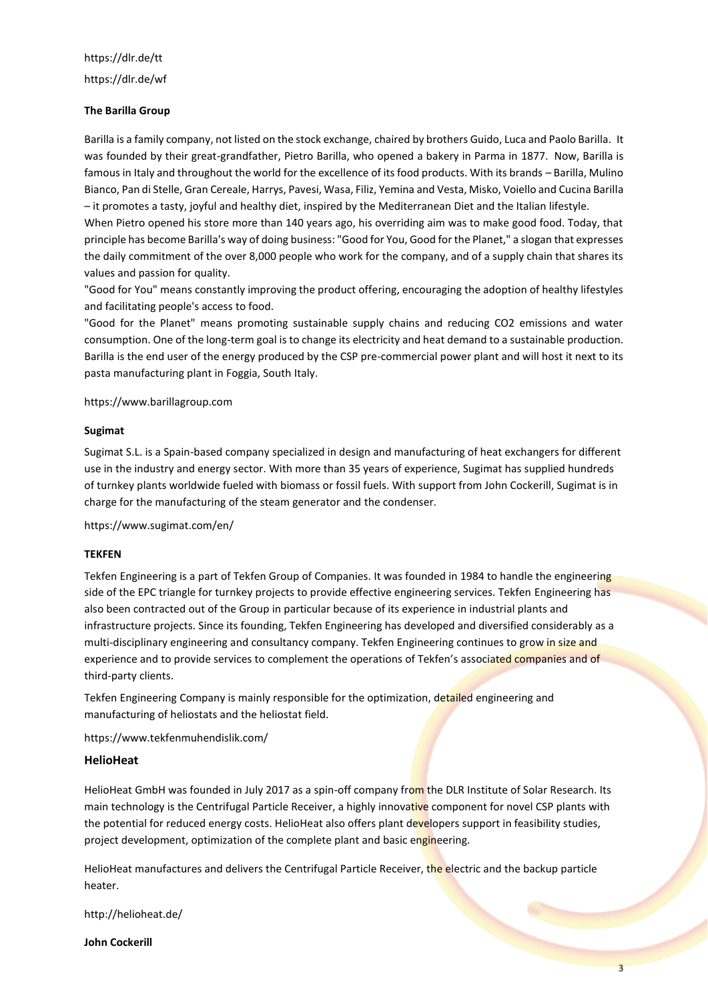https://dlr.de/tt https://dlr.de/wf

#### **The Barilla Group**

Barilla is a family company, not listed on the stock exchange, chaired by brothers Guido, Luca and Paolo Barilla. It was founded by their great-grandfather, Pietro Barilla, who opened a bakery in Parma in 1877. Now, Barilla is famous in Italy and throughout the world for the excellence of its food products. With its brands – Barilla, Mulino Bianco, Pan di Stelle, Gran Cereale, Harrys, Pavesi, Wasa, Filiz, Yemina and Vesta, Misko, Voiello and Cucina Barilla – it promotes a tasty, joyful and healthy diet, inspired by the Mediterranean Diet and the Italian lifestyle.

When Pietro opened his store more than 140 years ago, his overriding aim was to make good food. Today, that principle has become Barilla's way of doing business: "Good for You, Good for the Planet," a slogan that expresses the daily commitment of the over 8,000 people who work for the company, and of a supply chain that shares its values and passion for quality.

"Good for You" means constantly improving the product offering, encouraging the adoption of healthy lifestyles and facilitating people's access to food.

"Good for the Planet" means promoting sustainable supply chains and reducing CO2 emissions and water consumption. One of the long-term goal is to change its electricity and heat demand to a sustainable production. Barilla is the end user of the energy produced by the CSP pre-commercial power plant and will host it next to its pasta manufacturing plant in Foggia, South Italy.

#### https:/[/www.barillagroup.com](http://www.barillagroup.com/)

#### **Sugimat**

Sugimat S.L. is a Spain-based company specialized in design and manufacturing of heat exchangers for different use in the industry and energy sector. With more than 35 years of experience, Sugimat has supplied hundreds of turnkey plants worldwide fueled with biomass or fossil fuels. With support from John Cockerill, Sugimat is in charge for the manufacturing of the steam generator and the condenser.

https://www.sugimat.com/en/

#### **TEKFEN**

Tekfen Engineering is a part of Tekfen Group of Companies. It was founded in 1984 to handle the engineering side of the EPC triangle for turnkey projects to provide effective engineering services. Tekfen Engineering has also been contracted out of the Group in particular because of its experience in industrial plants and infrastructure projects. Since its founding, Tekfen Engineering has developed and diversified considerably as a multi-disciplinary engineering and consultancy company. Tekfen Engineering continues to grow in size and experience and to provide services to complement the operations of Tekfen's associated companies and of third-party clients.

Tekfen Engineering Company is mainly responsible for the optimization, detailed engineering and manufacturing of heliostats and the heliostat field.

https://www.tekfenmuhendislik.com/

#### **HelioHeat**

HelioHeat GmbH was founded in July 2017 as a spin-off company from the DLR Institute of Solar Research. Its main technology is the Centrifugal Particle Receiver, a highly innovative component for novel CSP plants with the potential for reduced energy costs. HelioHeat also offers plant developers support in feasibility studies, project development, optimization of the complete plant and basic engineering.

HelioHeat manufactures and delivers the Centrifugal Particle Receiver, the electric and the backup particle heater.

http://helioheat.de/

**John Cockerill**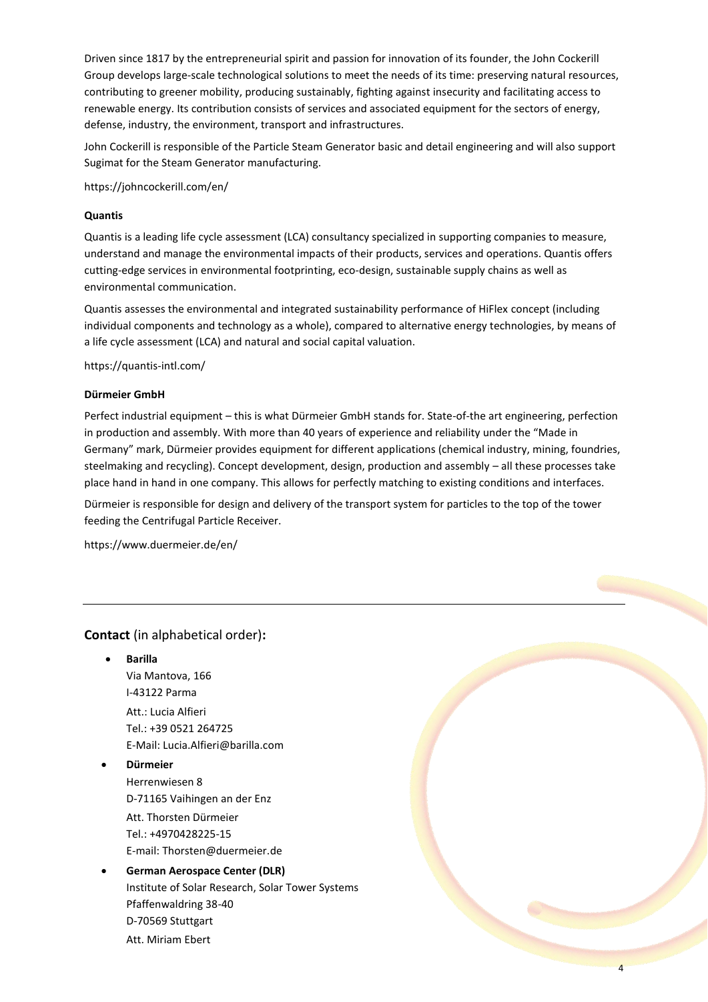Driven since 1817 by the entrepreneurial spirit and passion for innovation of its founder, the John Cockerill Group develops large-scale technological solutions to meet the needs of its time: preserving natural resources, contributing to greener mobility, producing sustainably, fighting against insecurity and facilitating access to renewable energy. Its contribution consists of services and associated equipment for the sectors of energy, defense, industry, the environment, transport and infrastructures.

John Cockerill is responsible of the Particle Steam Generator basic and detail engineering and will also support Sugimat for the Steam Generator manufacturing.

https://johncockerill.com/en/

#### **Quantis**

Quantis is a leading life cycle assessment (LCA) consultancy specialized in supporting companies to measure, understand and manage the environmental impacts of their products, services and operations. Quantis offers cutting-edge services in environmental footprinting, eco-design, sustainable supply chains as well as environmental communication.

Quantis assesses the environmental and integrated sustainability performance of HiFlex concept (including individual components and technology as a whole), compared to alternative energy technologies, by means of a life cycle assessment (LCA) and natural and social capital valuation.

https://quantis-intl.com/

#### **Dürmeier GmbH**

Perfect industrial equipment – this is what Dürmeier GmbH stands for. State-of-the art engineering, perfection in production and assembly. With more than 40 years of experience and reliability under the "Made in Germany" mark, Dürmeier provides equipment for different applications (chemical industry, mining, foundries, steelmaking and recycling). Concept development, design, production and assembly – all these processes take place hand in hand in one company. This allows for perfectly matching to existing conditions and interfaces.

Dürmeier is responsible for design and delivery of the transport system for particles to the top of the tower feeding the Centrifugal Particle Receiver.

4

<https://www.duermeier.de/en/>

## **Contact** (in alphabetical order)**:**

• **Barilla** Via Mantova, 166 I-43122 Parma Att.: Lucia Alfieri Tel.: +39 0521 264725 E-Mail: Lucia.Alfieri@barilla.com

## • **Dürmeier** Herrenwiesen 8 D-71165 Vaihingen an der Enz Att. Thorsten Dürmeier Tel.: +4970428225-15 E-mail[: Thorsten@duermeier.de](mailto:Thorsten@duermeier.de)

## • **German Aerospace Center (DLR)** Institute of Solar Research, Solar Tower Systems Pfaffenwaldring 38-40 D-70569 Stuttgart Att. Miriam Ebert